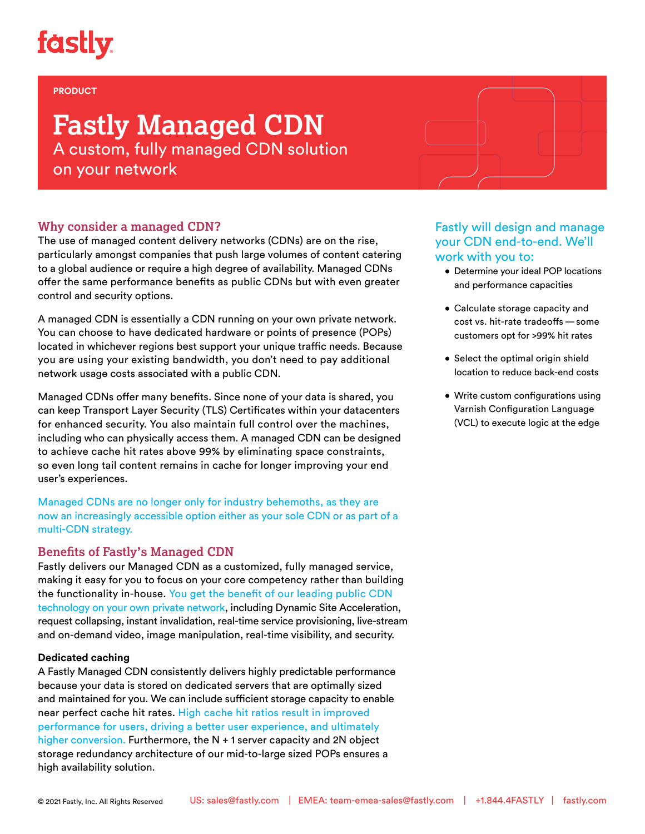# **fastly.**

### **PRODUCT**

# **Fastly Managed CDN** A custom, fully managed CDN solution on your network

## **Why consider a managed CDN?**

The use of managed content delivery networks (CDNs) are on the rise, particularly amongst companies that push large volumes of content catering to a global audience or require a high degree of availability. Managed CDNs offer the same performance benefits as public CDNs but with even greater control and security options.

A managed CDN is essentially a CDN running on your own private network. You can choose to have dedicated hardware or points of presence (POPs) located in whichever regions best support your unique traffic needs. Because you are using your existing bandwidth, you don't need to pay additional network usage costs associated with a public CDN.

Managed CDNs offer many benefits. Since none of your data is shared, you can keep Transport Layer Security (TLS) Certificates within your datacenters for enhanced security. You also maintain full control over the machines, including who can physically access them. A managed CDN can be designed to achieve cache hit rates above 99% by eliminating space constraints, so even long tail content remains in cache for longer improving your end user's experiences.

Managed CDNs are no longer only for industry behemoths, as they are now an increasingly accessible option either as your sole CDN or as part of a multi-CDN strategy.

### **Benefits of Fastly's Managed CDN**

Fastly delivers our Managed CDN as a customized, fully managed service, making it easy for you to focus on your core competency rather than building the functionality in-house. You get the benefit of our leading public CDN technology on your own private network, including Dynamic Site Acceleration, request collapsing, instant invalidation, real-time service provisioning, live-stream and on-demand video, image manipulation, real-time visibility, and security.

### **Dedicated caching**

A Fastly Managed CDN consistently delivers highly predictable performance because your data is stored on dedicated servers that are optimally sized and maintained for you. We can include sufficient storage capacity to enable near perfect cache hit rates. High cache hit ratios result in improved performance for users, driving a better user experience, and ultimately higher conversion. Furthermore, the N + 1 server capacity and 2N object storage redundancy architecture of our mid-to-large sized POPs ensures a high availability solution.

## Fastly will design and manage your CDN end-to-end. We'll work with you to:

- Determine your ideal POP locations and performance capacities
- Calculate storage capacity and cost vs. hit-rate tradeoffs—some customers opt for >99% hit rates
- Select the optimal origin shield location to reduce back-end costs
- Write custom configurations using Varnish Configuration Language (VCL) to execute logic at the edge